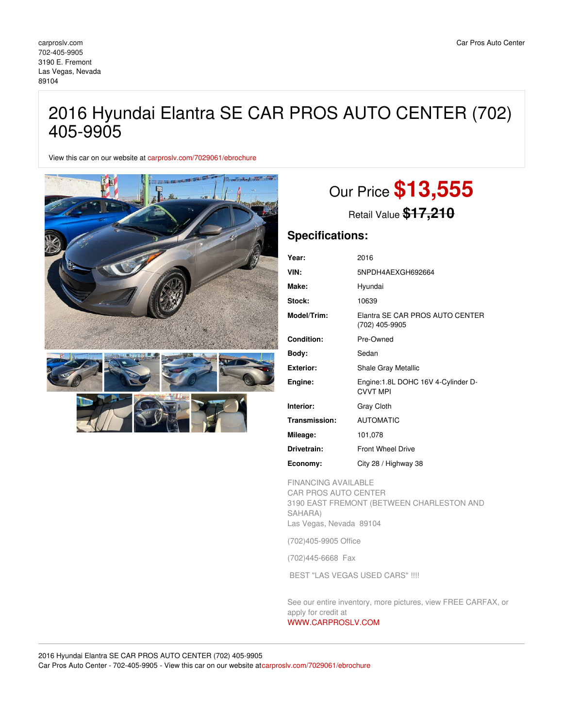## 2016 Hyundai Elantra SE CAR PROS AUTO CENTER (702) 405-9905

View this car on our website at [carproslv.com/7029061/ebrochure](https://carproslv.com/vehicle/7029061/2016-hyundai-elantra-se-car-pros-auto-center-702-405-9905-las-vegas-nevada-89104/7029061/ebrochure)



# Our Price **\$13,555**

Retail Value **\$17,210**

### **Specifications:**

| Year:            | 2016                                                  |
|------------------|-------------------------------------------------------|
| VIN:             | 5NPDH4AEXGH692664                                     |
| Make:            | Hyundai                                               |
| Stock:           | 10639                                                 |
| Model/Trim:      | Elantra SE CAR PROS AUTO CENTER<br>(702) 405-9905     |
| Condition:       | Pre-Owned                                             |
| Body:            | Sedan                                                 |
| <b>Exterior:</b> | <b>Shale Gray Metallic</b>                            |
| Engine:          | Engine:1.8L DOHC 16V 4-Cylinder D-<br><b>CVVT MPI</b> |
| Interior:        | Gray Cloth                                            |
| Transmission:    | <b>AUTOMATIC</b>                                      |
| Mileage:         | 101,078                                               |
| Drivetrain:      | <b>Front Wheel Drive</b>                              |
| Economy:         | City 28 / Highway 38                                  |

FINANCING AVAILABLE CAR PROS AUTO CENTER 3190 EAST FREMONT (BETWEEN CHARLESTON AND SAHARA) Las Vegas, Nevada 89104

(702)405-9905 Office

(702)445-6668 Fax

BEST "LAS VEGAS USED CARS" !!!!

See our entire inventory, more pictures, view FREE CARFAX, or apply for credit at

### [WWW.CARPROSLV.COM](http://www.carproslv.com)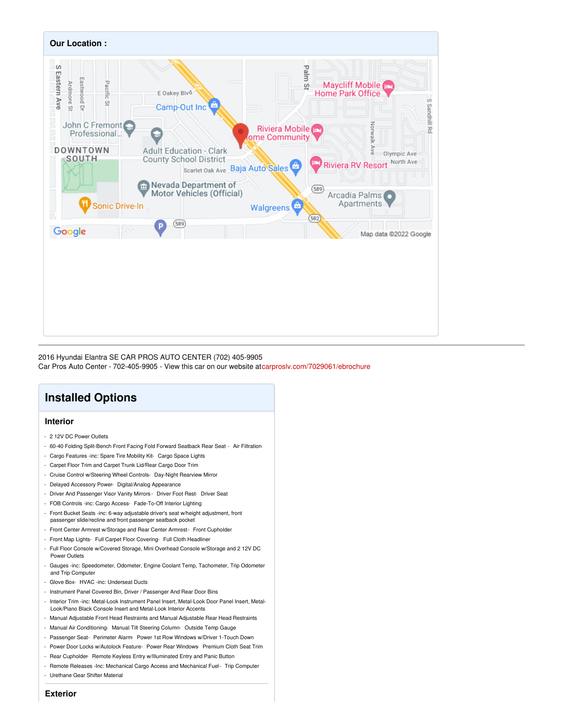

2016 Hyundai Elantra SE CAR PROS AUTO CENTER (702) 405-9905 Car Pros Auto Center - 702-405-9905 - View this car on our website a[tcarproslv.com/7029061/ebrochure](https://carproslv.com/vehicle/7029061/2016-hyundai-elantra-se-car-pros-auto-center-702-405-9905-las-vegas-nevada-89104/7029061/ebrochure)

### **Installed Options**

### **Interior**

- 2 12V DC Power Outlets
- 60-40 Folding Split-Bench Front Facing Fold Forward Seatback Rear Seat Air Filtration
- Cargo Features -inc: Spare Tire Mobility Kit- Cargo Space Lights
- Carpet Floor Trim and Carpet Trunk Lid/Rear Cargo Door Trim
- Cruise Control w/Steering Wheel Controls- Day-Night Rearview Mirror
- Delayed Accessory Power- Digital/Analog Appearance
- Driver And Passenger Visor Vanity Mirrors Driver Foot Rest- Driver Seat
- FOB Controls -inc: Cargo Access- Fade-To-Off Interior Lighting
- Front Bucket Seats -inc: 6-way adjustable driver's seat w/height adjustment, front passenger slide/recline and front passenger seatback pocket
- Front Center Armrest w/Storage and Rear Center Armrest- Front Cupholder
- Front Map Lights- Full Carpet Floor Covering- Full Cloth Headliner
- Full Floor Console w/Covered Storage, Mini Overhead Console w/Storage and 2 12V DC Power Outlets
- Gauges -inc: Speedometer, Odometer, Engine Coolant Temp, Tachometer, Trip Odometer and Trip Computer
- Glove Box- HVAC -inc: Underseat Ducts
- Instrument Panel Covered Bin, Driver / Passenger And Rear Door Bins
- Interior Trim -inc: Metal-Look Instrument Panel Insert, Metal-Look Door Panel Insert, Metal-Look/Piano Black Console Insert and Metal-Look Interior Accents
- Manual Adjustable Front Head Restraints and Manual Adjustable Rear Head Restraints
- Manual Air Conditioning- Manual Tilt Steering Column- Outside Temp Gauge
- Passenger Seat- Perimeter Alarm- Power 1st Row Windows w/Driver 1-Touch Down
- Power Door Locks w/Autolock Feature- Power Rear Windows- Premium Cloth Seat Trim
- Rear Cupholder- Remote Keyless Entry w/Illuminated Entry and Panic Button
- Remote Releases -Inc: Mechanical Cargo Access and Mechanical Fuel- Trip Computer
- Urethane Gear Shifter Material